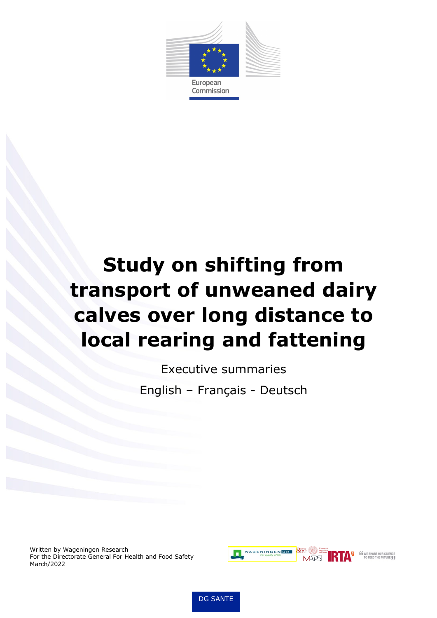

European Commission

# **Study on shifting from transport of unweaned dairy calves over long distance to local rearing and fattening**

Executive summaries English – Français - Deutsch

Written by Wageningen Research For the Directorate General For Health and Food Safety March/2022



DG SANTE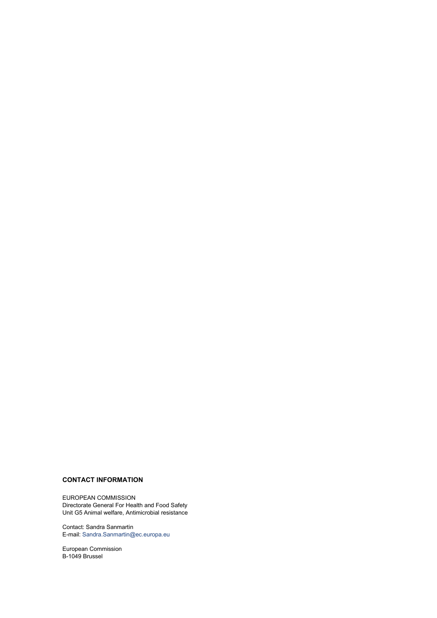## **CONTACT INFORMATION**

EUROPEAN COMMISSION Directorate General For Health and Food Safety Unit G5 Animal welfare, Antimicrobial resistance

Contact: Sandra Sanmartin E-mail: [Sandra.Sanmartin@ec.europa.eu](mailto:Sandra.Sanmartin@ec.europa.eu)

European Commission B-1049 Brussel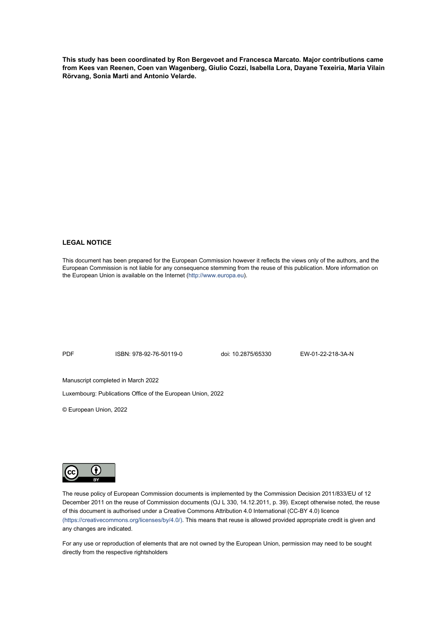**This study has been coordinated by Ron Bergevoet and Francesca Marcato. Major contributions came from Kees van Reenen, Coen van Wagenberg, Giulio Cozzi, Isabella Lora, Dayane Texeiria, Maria Vilain Rörvang, Sonia Marti and Antonio Velarde.**

#### **LEGAL NOTICE**

This document has been prepared for the European Commission however it reflects the views only of the authors, and the European Commission is not liable for any consequence stemming from the reuse of this publication. More information on the European Union is available on the Internet [\(http://www.europa.eu\).](http://www.europa.eu/)

PDF ISBN: 978-92-76-50119-0 doi: 10.2875/65330 EW-01-22-218-3A-N

Manuscript completed in March 2022

Luxembourg: Publications Office of the European Union, 2022

© European Union, 2022



The reuse policy of European Commission documents is implemented by the Commission Decision 2011/833/EU of 12 December 2011 on the reuse of Commission documents (OJ L 330, 14.12.2011, p. 39). Except otherwise noted, the reuse of this document is authorised under a Creative Commons Attribution 4.0 International (CC-BY 4.0) licence [\(https://creativecommons.org/licenses/by/4.0/\).](file://net1.cec.eu.int/COMM/A/A1/Visual%20Communication/01_Visual%20Identity/04%20CORPORATE%20TEMPLATES/Word%20template/Rapport_template%20Word/(https:/creativecommons.org/licenses/by/4.0/)) This means that reuse is allowed provided appropriate credit is given and any changes are indicated.

For any use or reproduction of elements that are not owned by the European Union, permission may need to be sought directly from the respective rightsholders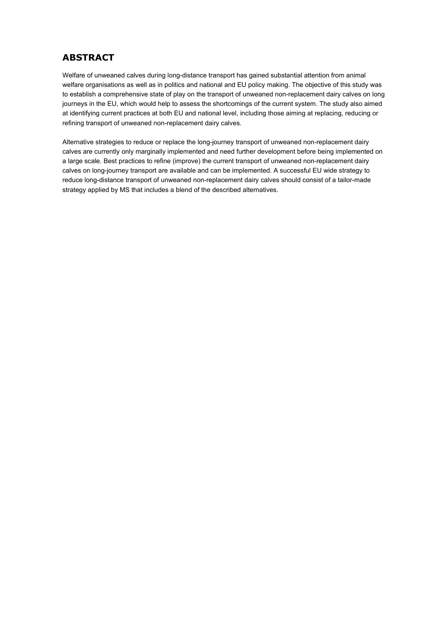# **ABSTRACT**

Welfare of unweaned calves during long-distance transport has gained substantial attention from animal welfare organisations as well as in politics and national and EU policy making. The objective of this study was to establish a comprehensive state of play on the transport of unweaned non-replacement dairy calves on long journeys in the EU, which would help to assess the shortcomings of the current system. The study also aimed at identifying current practices at both EU and national level, including those aiming at replacing, reducing or refining transport of unweaned non-replacement dairy calves.

Alternative strategies to reduce or replace the long-journey transport of unweaned non-replacement dairy calves are currently only marginally implemented and need further development before being implemented on a large scale. Best practices to refine (improve) the current transport of unweaned non-replacement dairy calves on long-journey transport are available and can be implemented. A successful EU wide strategy to reduce long-distance transport of unweaned non-replacement dairy calves should consist of a tailor-made strategy applied by MS that includes a blend of the described alternatives.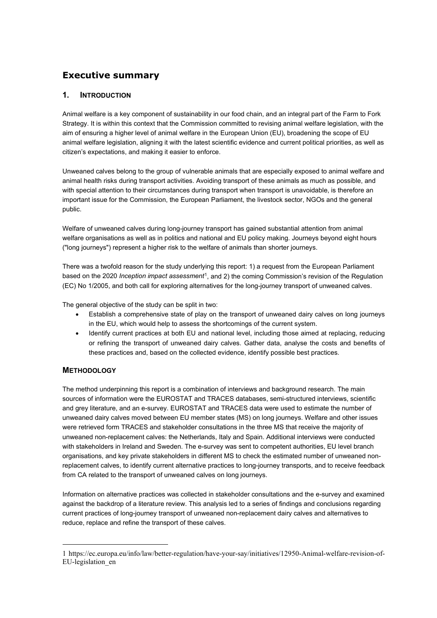# **Executive summary**

## **1. INTRODUCTION**

Animal welfare is a key component of sustainability in our food chain, and an integral part of the Farm to Fork Strategy. It is within this context that the Commission committed to revising animal welfare legislation, with the aim of ensuring a higher level of animal welfare in the European Union (EU), broadening the scope of EU animal welfare legislation, aligning it with the latest scientific evidence and current political priorities, as well as citizen's expectations, and making it easier to enforce.

Unweaned calves belong to the group of vulnerable animals that are especially exposed to animal welfare and animal health risks during transport activities. Avoiding transport of these animals as much as possible, and with special attention to their circumstances during transport when transport is unavoidable, is therefore an important issue for the Commission, the European Parliament, the livestock sector, NGOs and the general public.

Welfare of unweaned calves during long-journey transport has gained substantial attention from animal welfare organisations as well as in politics and national and EU policy making. Journeys beyond eight hours ("long journeys") represent a higher risk to the welfare of animals than shorter journeys.

There was a twofold reason for the study underlying this report: 1) a request from the European Parliament based on the 2020 *Inception impact assessment*[1](#page-4-0), and 2) the coming Commission's revision of the Regulation (EC) No 1/2005, and both call for exploring alternatives for the long-journey transport of unweaned calves.

The general objective of the study can be split in two:

- Establish a comprehensive state of play on the transport of unweaned dairy calves on long journeys in the EU, which would help to assess the shortcomings of the current system.
- Identify current practices at both EU and national level, including those aimed at replacing, reducing or refining the transport of unweaned dairy calves. Gather data, analyse the costs and benefits of these practices and, based on the collected evidence, identify possible best practices.

# **METHODOLOGY**

The method underpinning this report is a combination of interviews and background research. The main sources of information were the EUROSTAT and TRACES databases, semi-structured interviews, scientific and grey literature, and an e-survey. EUROSTAT and TRACES data were used to estimate the number of unweaned dairy calves moved between EU member states (MS) on long journeys. Welfare and other issues were retrieved form TRACES and stakeholder consultations in the three MS that receive the majority of unweaned non-replacement calves: the Netherlands, Italy and Spain. Additional interviews were conducted with stakeholders in Ireland and Sweden. The e-survey was sent to competent authorities, EU level branch organisations, and key private stakeholders in different MS to check the estimated number of unweaned nonreplacement calves, to identify current alternative practices to long-journey transports, and to receive feedback from CA related to the transport of unweaned calves on long journeys.

Information on alternative practices was collected in stakeholder consultations and the e-survey and examined against the backdrop of a literature review. This analysis led to a series of findings and conclusions regarding current practices of long-journey transport of unweaned non-replacement dairy calves and alternatives to reduce, replace and refine the transport of these calves.

<span id="page-4-0"></span><sup>1</sup> [https://ec.europa.eu/info/law/better-regulation/have-your-say/initiatives/12950-Animal-welfare-revision-of-](https://ec.europa.eu/info/law/better-regulation/have-your-say/initiatives/12950-Animal-welfare-revision-of-EU-legislation_en)[EU-legislation\\_en](https://ec.europa.eu/info/law/better-regulation/have-your-say/initiatives/12950-Animal-welfare-revision-of-EU-legislation_en)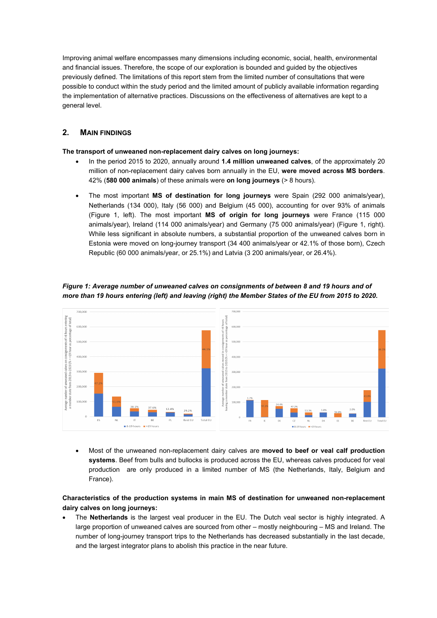Improving animal welfare encompasses many dimensions including economic, social, health, environmental and financial issues. Therefore, the scope of our exploration is bounded and guided by the objectives previously defined. The limitations of this report stem from the limited number of consultations that were possible to conduct within the study period and the limited amount of publicly available information regarding the implementation of alternative practices. Discussions on the effectiveness of alternatives are kept to a general level.

## **2. MAIN FINDINGS**

**The transport of unweaned non-replacement dairy calves on long journeys:**

- In the period 2015 to 2020, annually around **1.4 million unweaned calves**, of the approximately 20 million of non-replacement dairy calves born annually in the EU, **were moved across MS borders**. 42% (**580 000 animals**) of these animals were **on long journeys** (> 8 hours).
- The most important **MS of destination for long journeys** were Spain (292 000 animals/year), Netherlands (134 000), Italy (56 000) and Belgium (45 000), accounting for over 93% of animals (Figure 1, left). The most important **MS of origin for long journeys** were France (115 000 animals/year), Ireland (114 000 animals/year) and Germany (75 000 animals/year) (Figure 1, right). While less significant in absolute numbers, a substantial proportion of the unweaned calves born in Estonia were moved on long-journey transport (34 400 animals/year or 42.1% of those born), Czech Republic (60 000 animals/year, or 25.1%) and Latvia (3 200 animals/year, or 26.4%).



*Figure 1: Average number of unweaned calves on consignments of between 8 and 19 hours and of more than 19 hours entering (left) and leaving (right) the Member States of the EU from 2015 to 2020.* 

• Most of the unweaned non-replacement dairy calves are **moved to beef or veal calf production systems**. Beef from bulls and bullocks is produced across the EU, whereas calves produced for veal production are only produced in a limited number of MS (the Netherlands, Italy, Belgium and France).

## **Characteristics of the production systems in main MS of destination for unweaned non-replacement dairy calves on long journeys:**

• The **Netherlands** is the largest veal producer in the EU. The Dutch veal sector is highly integrated. A large proportion of unweaned calves are sourced from other – mostly neighbouring – MS and Ireland. The number of long-journey transport trips to the Netherlands has decreased substantially in the last decade, and the largest integrator plans to abolish this practice in the near future.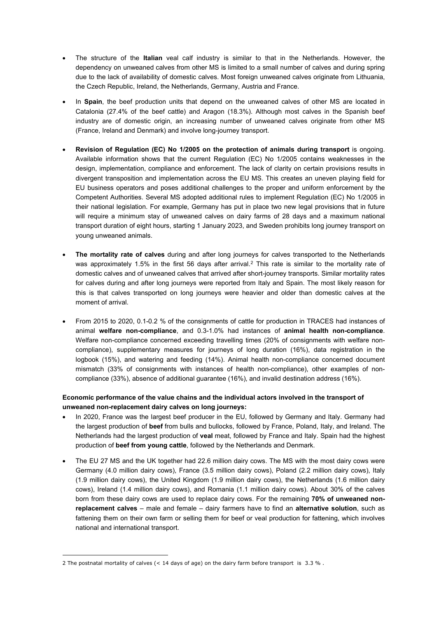- The structure of the **Italian** veal calf industry is similar to that in the Netherlands. However, the dependency on unweaned calves from other MS is limited to a small number of calves and during spring due to the lack of availability of domestic calves. Most foreign unweaned calves originate from Lithuania, the Czech Republic, Ireland, the Netherlands, Germany, Austria and France.
- In **Spain**, the beef production units that depend on the unweaned calves of other MS are located in Catalonia (27.4% of the beef cattle) and Aragon (18.3%). Although most calves in the Spanish beef industry are of domestic origin, an increasing number of unweaned calves originate from other MS (France, Ireland and Denmark) and involve long-journey transport.
- **Revision of Regulation (EC) No 1/2005 on the protection of animals during transport** is ongoing. Available information shows that the current Regulation (EC) No 1/2005 contains weaknesses in the design, implementation, compliance and enforcement. The lack of clarity on certain provisions results in divergent transposition and implementation across the EU MS. This creates an uneven playing field for EU business operators and poses additional challenges to the proper and uniform enforcement by the Competent Authorities. Several MS adopted additional rules to implement Regulation (EC) No 1/2005 in their national legislation. For example, Germany has put in place two new legal provisions that in future will require a minimum stay of unweaned calves on dairy farms of 28 days and a maximum national transport duration of eight hours, starting 1 January 2023, and Sweden prohibits long journey transport on young unweaned animals.
- **The mortality rate of calves** during and after long journeys for calves transported to the Netherlands was approximately 1.5% in the first 56 days after arrival.<sup>[2](#page-6-0)</sup> This rate is similar to the mortality rate of domestic calves and of unweaned calves that arrived after short-journey transports. Similar mortality rates for calves during and after long journeys were reported from Italy and Spain. The most likely reason for this is that calves transported on long journeys were heavier and older than domestic calves at the moment of arrival.
- From 2015 to 2020, 0.1-0.2 % of the consignments of cattle for production in TRACES had instances of animal **welfare non-compliance**, and 0.3-1.0% had instances of **animal health non-compliance**. Welfare non-compliance concerned exceeding travelling times (20% of consignments with welfare noncompliance), supplementary measures for journeys of long duration (16%), data registration in the logbook (15%), and watering and feeding (14%). Animal health non-compliance concerned document mismatch (33% of consignments with instances of health non-compliance), other examples of noncompliance (33%), absence of additional guarantee (16%), and invalid destination address (16%).

## **Economic performance of the value chains and the individual actors involved in the transport of unweaned non-replacement dairy calves on long journeys:**

- In 2020, France was the largest beef producer in the EU, followed by Germany and Italy. Germany had the largest production of **beef** from bulls and bullocks, followed by France, Poland, Italy, and Ireland. The Netherlands had the largest production of **veal** meat, followed by France and Italy. Spain had the highest production of **beef from young cattle**, followed by the Netherlands and Denmark.
- The EU 27 MS and the UK together had 22.6 million dairy cows. The MS with the most dairy cows were Germany (4.0 million dairy cows), France (3.5 million dairy cows), Poland (2.2 million dairy cows), Italy (1.9 million dairy cows), the United Kingdom (1.9 million dairy cows), the Netherlands (1.6 million dairy cows), Ireland (1.4 million dairy cows), and Romania (1.1 million dairy cows). About 30% of the calves born from these dairy cows are used to replace dairy cows. For the remaining **70% of unweaned nonreplacement calves** – male and female – dairy farmers have to find an **alternative solution**, such as fattening them on their own farm or selling them for beef or veal production for fattening, which involves national and international transport.

<span id="page-6-0"></span><sup>2</sup> The postnatal mortality of calves (< 14 days of age) on the dairy farm before transport is 3.3 % .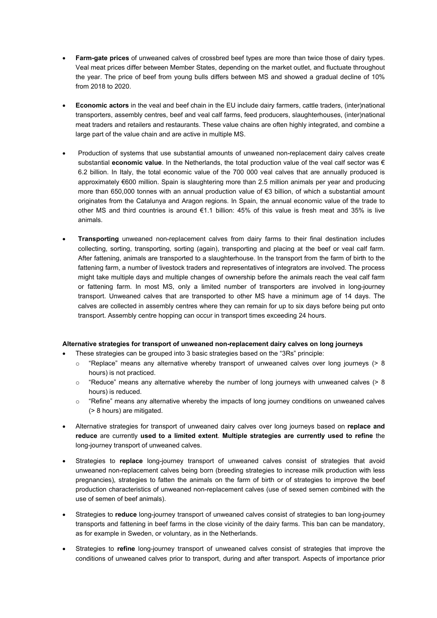- **Farm-gate prices** of unweaned calves of crossbred beef types are more than twice those of dairy types. Veal meat prices differ between Member States, depending on the market outlet, and fluctuate throughout the year. The price of beef from young bulls differs between MS and showed a gradual decline of 10% from 2018 to 2020.
- **Economic actors** in the veal and beef chain in the EU include dairy farmers, cattle traders, (inter)national transporters, assembly centres, beef and veal calf farms, feed producers, slaughterhouses, (inter)national meat traders and retailers and restaurants. These value chains are often highly integrated, and combine a large part of the value chain and are active in multiple MS.
- Production of systems that use substantial amounts of unweaned non-replacement dairy calves create substantial **economic value**. In the Netherlands, the total production value of the veal calf sector was € 6.2 billion. In Italy, the total economic value of the 700 000 veal calves that are annually produced is approximately €600 million. Spain is slaughtering more than 2.5 million animals per year and producing more than 650,000 tonnes with an annual production value of €3 billion, of which a substantial amount originates from the Catalunya and Aragon regions. In Spain, the annual economic value of the trade to other MS and third countries is around €1.1 billion: 45% of this value is fresh meat and 35% is live animals.
- **Transporting** unweaned non-replacement calves from dairy farms to their final destination includes collecting, sorting, transporting, sorting (again), transporting and placing at the beef or veal calf farm. After fattening, animals are transported to a slaughterhouse. In the transport from the farm of birth to the fattening farm, a number of livestock traders and representatives of integrators are involved. The process might take multiple days and multiple changes of ownership before the animals reach the veal calf farm or fattening farm. In most MS, only a limited number of transporters are involved in long-journey transport. Unweaned calves that are transported to other MS have a minimum age of 14 days. The calves are collected in assembly centres where they can remain for up to six days before being put onto transport. Assembly centre hopping can occur in transport times exceeding 24 hours.

#### **Alternative strategies for transport of unweaned non-replacement dairy calves on long journeys**

- These strategies can be grouped into 3 basic strategies based on the "3Rs" principle:
	- o "Replace" means any alternative whereby transport of unweaned calves over long journeys (> 8 hours) is not practiced.
	- $\circ$  "Reduce" means any alternative whereby the number of long journeys with unweaned calves (> 8 hours) is reduced.
	- $\circ$  "Refine" means any alternative whereby the impacts of long journey conditions on unweaned calves (> 8 hours) are mitigated.
- Alternative strategies for transport of unweaned dairy calves over long journeys based on **replace and reduce** are currently **used to a limited extent**. **Multiple strategies are currently used to refine** the long-journey transport of unweaned calves.
- Strategies to **replace** long-journey transport of unweaned calves consist of strategies that avoid unweaned non-replacement calves being born (breeding strategies to increase milk production with less pregnancies), strategies to fatten the animals on the farm of birth or of strategies to improve the beef production characteristics of unweaned non-replacement calves (use of sexed semen combined with the use of semen of beef animals).
- Strategies to **reduce** long-journey transport of unweaned calves consist of strategies to ban long-journey transports and fattening in beef farms in the close vicinity of the dairy farms. This ban can be mandatory, as for example in Sweden, or voluntary, as in the Netherlands.
- Strategies to **refine** long-journey transport of unweaned calves consist of strategies that improve the conditions of unweaned calves prior to transport, during and after transport. Aspects of importance prior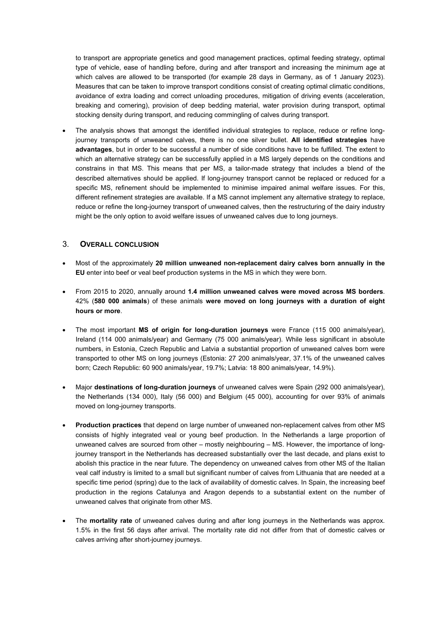to transport are appropriate genetics and good management practices, optimal feeding strategy, optimal type of vehicle, ease of handling before, during and after transport and increasing the minimum age at which calves are allowed to be transported (for example 28 days in Germany, as of 1 January 2023). Measures that can be taken to improve transport conditions consist of creating optimal climatic conditions, avoidance of extra loading and correct unloading procedures, mitigation of driving events (acceleration, breaking and cornering), provision of deep bedding material, water provision during transport, optimal stocking density during transport, and reducing commingling of calves during transport.

The analysis shows that amongst the identified individual strategies to replace, reduce or refine longjourney transports of unweaned calves, there is no one silver bullet. **All identified strategies** have **advantages**, but in order to be successful a number of side conditions have to be fulfilled. The extent to which an alternative strategy can be successfully applied in a MS largely depends on the conditions and constrains in that MS. This means that per MS, a tailor-made strategy that includes a blend of the described alternatives should be applied. If long-journey transport cannot be replaced or reduced for a specific MS, refinement should be implemented to minimise impaired animal welfare issues. For this, different refinement strategies are available. If a MS cannot implement any alternative strategy to replace, reduce or refine the long-journey transport of unweaned calves, then the restructuring of the dairy industry might be the only option to avoid welfare issues of unweaned calves due to long journeys.

## 3. **OVERALL CONCLUSION**

- Most of the approximately **20 million unweaned non-replacement dairy calves born annually in the EU** enter into beef or veal beef production systems in the MS in which they were born.
- From 2015 to 2020, annually around **1.4 million unweaned calves were moved across MS borders**. 42% (**580 000 animals**) of these animals **were moved on long journeys with a duration of eight hours or more**.
- The most important **MS of origin for long-duration journeys** were France (115 000 animals/year), Ireland (114 000 animals/year) and Germany (75 000 animals/year). While less significant in absolute numbers, in Estonia, Czech Republic and Latvia a substantial proportion of unweaned calves born were transported to other MS on long journeys (Estonia: 27 200 animals/year, 37.1% of the unweaned calves born; Czech Republic: 60 900 animals/year, 19.7%; Latvia: 18 800 animals/year, 14.9%).
- Major **destinations of long-duration journeys** of unweaned calves were Spain (292 000 animals/year), the Netherlands (134 000), Italy (56 000) and Belgium (45 000), accounting for over 93% of animals moved on long-journey transports.
- **Production practices** that depend on large number of unweaned non-replacement calves from other MS consists of highly integrated veal or young beef production. In the Netherlands a large proportion of unweaned calves are sourced from other – mostly neighbouring – MS. However, the importance of longjourney transport in the Netherlands has decreased substantially over the last decade, and plans exist to abolish this practice in the near future. The dependency on unweaned calves from other MS of the Italian veal calf industry is limited to a small but significant number of calves from Lithuania that are needed at a specific time period (spring) due to the lack of availability of domestic calves. In Spain, the increasing beef production in the regions Catalunya and Aragon depends to a substantial extent on the number of unweaned calves that originate from other MS.
- The **mortality rate** of unweaned calves during and after long journeys in the Netherlands was approx. 1.5% in the first 56 days after arrival. The mortality rate did not differ from that of domestic calves or calves arriving after short-journey journeys.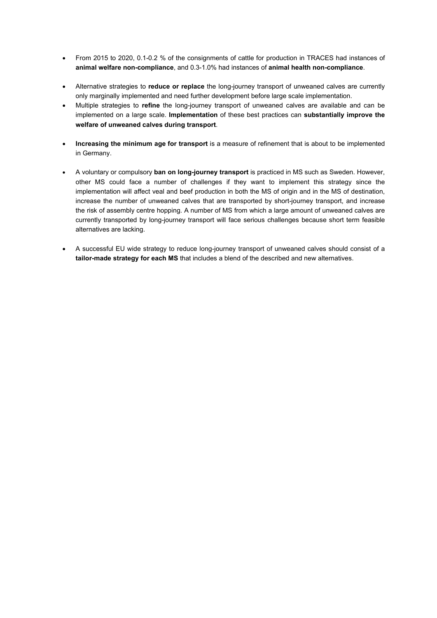- From 2015 to 2020, 0.1-0.2 % of the consignments of cattle for production in TRACES had instances of **animal welfare non-compliance**, and 0.3-1.0% had instances of **animal health non-compliance**.
- Alternative strategies to **reduce or replace** the long-journey transport of unweaned calves are currently only marginally implemented and need further development before large scale implementation.
- Multiple strategies to **refine** the long-journey transport of unweaned calves are available and can be implemented on a large scale. **Implementation** of these best practices can **substantially improve the welfare of unweaned calves during transport**.
- **Increasing the minimum age for transport** is a measure of refinement that is about to be implemented in Germany.
- A voluntary or compulsory **ban on long-journey transport** is practiced in MS such as Sweden. However, other MS could face a number of challenges if they want to implement this strategy since the implementation will affect veal and beef production in both the MS of origin and in the MS of destination, increase the number of unweaned calves that are transported by short-journey transport, and increase the risk of assembly centre hopping. A number of MS from which a large amount of unweaned calves are currently transported by long-journey transport will face serious challenges because short term feasible alternatives are lacking.
- A successful EU wide strategy to reduce long-journey transport of unweaned calves should consist of a **tailor-made strategy for each MS** that includes a blend of the described and new alternatives.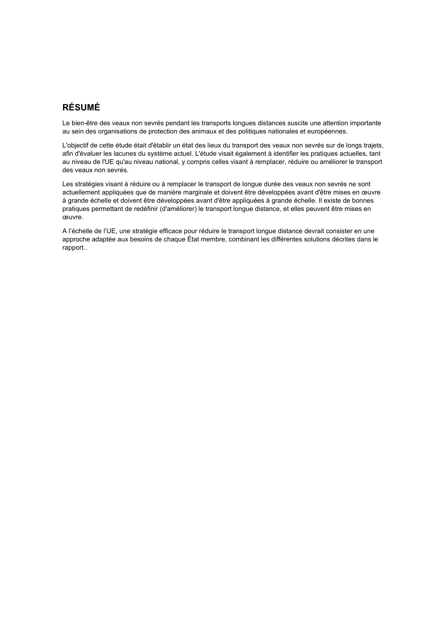# **RÉSUMÉ**

Le bien-être des veaux non sevrés pendant les transports longues distances suscite une attention importante au sein des organisations de protection des animaux et des politiques nationales et européennes.

L'objectif de cette étude était d'établir un état des lieux du transport des veaux non sevrés sur de longs trajets, afin d'évaluer les lacunes du système actuel. L'étude visait également à identifier les pratiques actuelles, tant au niveau de l'UE qu'au niveau national, y compris celles visant à remplacer, réduire ou améliorer le transport des veaux non sevrés.

Les stratégies visant à réduire ou à remplacer le transport de longue durée des veaux non sevrés ne sont actuellement appliquées que de manière marginale et doivent être développées avant d'être mises en œuvre à grande échelle et doivent être développées avant d'être appliquées à grande échelle. Il existe de bonnes pratiques permettant de redéfinir (d'améliorer) le transport longue distance, et elles peuvent être mises en œuvre.

A l'échelle de l'UE, une stratégie efficace pour réduire le transport longue distance devrait consister en une approche adaptée aux besoins de chaque État membre, combinant les différentes solutions décrites dans le rapport..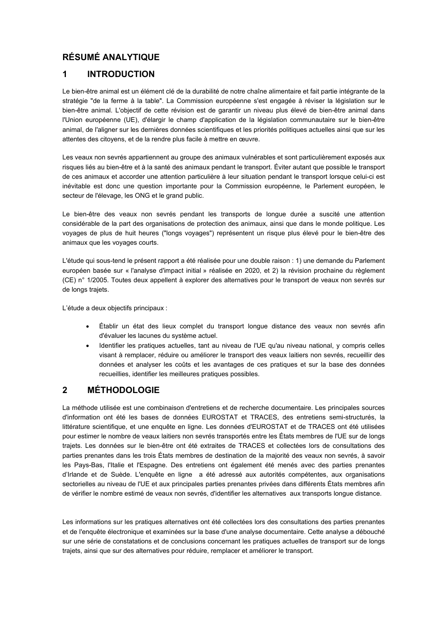# **RÉSUMÉ ANALYTIQUE**

# **1 INTRODUCTION**

Le bien-être animal est un élément clé de la durabilité de notre chaîne alimentaire et fait partie intégrante de la stratégie "de la ferme à la table". La Commission européenne s'est engagée à réviser la législation sur le bien-être animal. L'objectif de cette révision est de garantir un niveau plus élevé de bien-être animal dans l'Union européenne (UE), d'élargir le champ d'application de la législation communautaire sur le bien-être animal, de l'aligner sur les dernières données scientifiques et les priorités politiques actuelles ainsi que sur les attentes des citoyens, et de la rendre plus facile à mettre en œuvre.

Les veaux non sevrés appartiennent au groupe des animaux vulnérables et sont particulièrement exposés aux risques liés au bien-être et à la santé des animaux pendant le transport. Éviter autant que possible le transport de ces animaux et accorder une attention particulière à leur situation pendant le transport lorsque celui-ci est inévitable est donc une question importante pour la Commission européenne, le Parlement européen, le secteur de l'élevage, les ONG et le grand public.

Le bien-être des veaux non sevrés pendant les transports de longue durée a suscité une attention considérable de la part des organisations de protection des animaux, ainsi que dans le monde politique. Les voyages de plus de huit heures ("longs voyages") représentent un risque plus élevé pour le bien-être des animaux que les voyages courts.

L'étude qui sous-tend le présent rapport a été réalisée pour une double raison : 1) une demande du Parlement européen basée sur « l'analyse d'impact initial » réalisée en 2020, et 2) la révision prochaine du règlement (CE) n° 1/2005. Toutes deux appellent à explorer des alternatives pour le transport de veaux non sevrés sur de longs trajets.

L'étude a deux objectifs principaux :

- Établir un état des lieux complet du transport longue distance des veaux non sevrés afin d'évaluer les lacunes du système actuel.
- Identifier les pratiques actuelles, tant au niveau de l'UE qu'au niveau national, y compris celles visant à remplacer, réduire ou améliorer le transport des veaux laitiers non sevrés, recueillir des données et analyser les coûts et les avantages de ces pratiques et sur la base des données recueillies, identifier les meilleures pratiques possibles.

# **2 MÉTHODOLOGIE**

La méthode utilisée est une combinaison d'entretiens et de recherche documentaire. Les principales sources d'information ont été les bases de données EUROSTAT et TRACES, des entretiens semi-structurés, la littérature scientifique, et une enquête en ligne. Les données d'EUROSTAT et de TRACES ont été utilisées pour estimer le nombre de veaux laitiers non sevrés transportés entre les États membres de l'UE sur de longs trajets. Les données sur le bien-être ont été extraites de TRACES et collectées lors de consultations des parties prenantes dans les trois États membres de destination de la majorité des veaux non sevrés, à savoir les Pays-Bas, l'Italie et l'Espagne. Des entretiens ont également été menés avec des parties prenantes d'Irlande et de Suède. L'enquête en ligne a été adressé aux autorités compétentes, aux organisations sectorielles au niveau de l'UE et aux principales parties prenantes privées dans différents États membres afin de vérifier le nombre estimé de veaux non sevrés, d'identifier les alternatives aux transports longue distance.

Les informations sur les pratiques alternatives ont été collectées lors des consultations des parties prenantes et de l'enquête électronique et examinées sur la base d'une analyse documentaire. Cette analyse a débouché sur une série de constatations et de conclusions concernant les pratiques actuelles de transport sur de longs trajets, ainsi que sur des alternatives pour réduire, remplacer et améliorer le transport.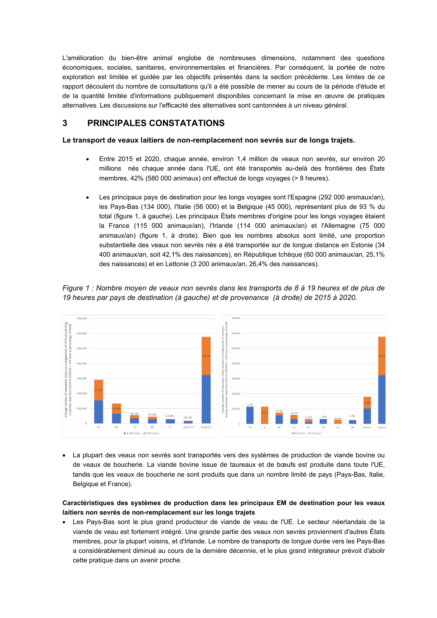L'amélioration du bien-être animal englobe de nombreuses dimensions, notamment des questions économiques, sociales, sanitaires, environnementales et financières. Par conséquent, la portée de notre exploration est limitée et guidée par les objectifs présentés dans la section précédente. Les limites de ce rapport découlent du nombre de consultations qu'il a été possible de mener au cours de la période d'étude et de la quantité limitée d'informations publiquement disponibles concernant la mise en œuvre de pratiques alternatives. Les discussions sur l'efficacité des alternatives sont cantonnées à un niveau général.

# **3 PRINCIPALES CONSTATATIONS**

**Le transport de veaux laitiers de non-remplacement non sevrés sur de longs trajets.** 

- Entre 2015 et 2020, chaque année, environ 1,4 million de veaux non sevrés, sur environ 20 millions nés chaque année dans l'UE, ont été transportés au-delà des frontières des États membres. 42% (580 000 animaux) ont effectué de longs voyages (> 8 heures).
- Les principaux pays de destination pour les longs voyages sont l'Espagne (292 000 animaux/an), les Pays-Bas (134 000), l'Italie (56 000) et la Belgique (45 000), représentant plus de 93 % du total (figure 1, à gauche). Les principaux États membres d'origine pour les longs voyages étaient la France (115 000 animaux/an), l'Irlande (114 000 animaux/an) et l'Allemagne (75 000 animaux/an) (figure 1, à droite). Bien que les nombres absolus sont limité, une proportion substantielle des veaux non sevrés nés a été transportée sur de longue distance en Estonie (34 400 animaux/an, soit 42,1% des naissances), en République tchèque (60 000 animaux/an, 25,1% des naissances) et en Lettonie (3 200 animaux/an, 26,4% des naissances).



*Figure 1 : Nombre moyen de veaux non sevrés dans les transports de 8 à 19 heures et de plus de 19 heures par pays de destination (à gauche) et de provenance (à droite) de 2015 à 2020.*

• La plupart des veaux non sevrés sont transportés vers des systèmes de production de viande bovine ou de veaux de boucherie. La viande bovine issue de taureaux et de bœufs est produite dans toute l'UE, tandis que les veaux de boucherie ne sont produits que dans un nombre limité de pays (Pays-Bas, Italie, Belgique et France).

## **Caractéristiques des systèmes de production dans les principaux EM de destination pour les veaux laitiers non sevrés de non-remplacement sur les longs trajets**

• Les Pays-Bas sont le plus grand producteur de viande de veau de l'UE. Le secteur néerlandais de la viande de veau est fortement intégré. Une grande partie des veaux non sevrés proviennent d'autres États membres, pour la plupart voisins, et d'Irlande. Le nombre de transports de longue durée vers les Pays-Bas a considérablement diminué au cours de la dernière décennie, et le plus grand intégrateur prévoit d'abolir cette pratique dans un avenir proche.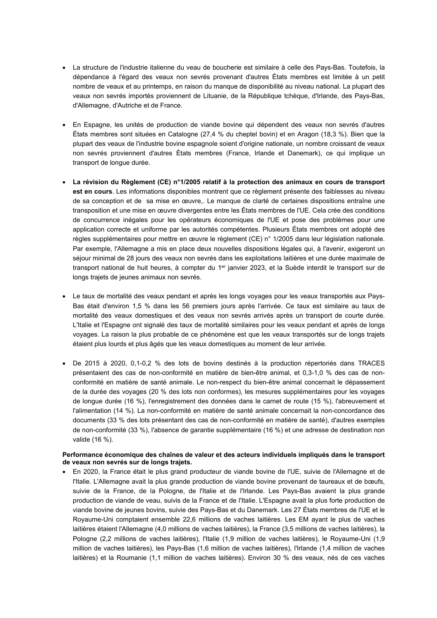- La structure de l'industrie italienne du veau de boucherie est similaire à celle des Pays-Bas. Toutefois, la dépendance à l'égard des veaux non sevrés provenant d'autres États membres est limitée à un petit nombre de veaux et au printemps, en raison du manque de disponibilité au niveau national. La plupart des veaux non sevrés importés proviennent de Lituanie, de la République tchèque, d'Irlande, des Pays-Bas, d'Allemagne, d'Autriche et de France.
- En Espagne, les unités de production de viande bovine qui dépendent des veaux non sevrés d'autres États membres sont situées en Catalogne (27,4 % du cheptel bovin) et en Aragon (18,3 %). Bien que la plupart des veaux de l'industrie bovine espagnole soient d'origine nationale, un nombre croissant de veaux non sevrés proviennent d'autres États membres (France, Irlande et Danemark), ce qui implique un transport de longue durée.
- **La révision du Règlement (CE) n°1/2005 relatif à la protection des animaux en cours de transport est en cours**. Les informations disponibles montrent que ce règlement présente des faiblesses au niveau de sa conception et de sa mise en œuvre,. Le manque de clarté de certaines dispositions entraîne une transposition et une mise en œuvre divergentes entre les États membres de l'UE. Cela crée des conditions de concurrence inégales pour les opérateurs économiques de l'UE et pose des problèmes pour une application correcte et uniforme par les autorités compétentes. Plusieurs États membres ont adopté des règles supplémentaires pour mettre en œuvre le règlement (CE) n° 1/2005 dans leur législation nationale. Par exemple, l'Allemagne a mis en place deux nouvelles dispositions légales qui, à l'avenir, exigeront un séjour minimal de 28 jours des veaux non sevrés dans les exploitations laitières et une durée maximale de transport national de huit heures, à compter du 1<sup>er</sup> janvier 2023, et la Suède interdit le transport sur de longs trajets de jeunes animaux non sevrés.
- Le taux de mortalité des veaux pendant et après les longs voyages pour les veaux transportés aux Pays-Bas était d'environ 1,5 % dans les 56 premiers jours après l'arrivée. Ce taux est similaire au taux de mortalité des veaux domestiques et des veaux non sevrés arrivés après un transport de courte durée. L'Italie et l'Espagne ont signalé des taux de mortalité similaires pour les veaux pendant et après de longs voyages. La raison la plus probable de ce phénomène est que les veaux transportés sur de longs trajets étaient plus lourds et plus âgés que les veaux domestiques au moment de leur arrivée.
- De 2015 à 2020, 0,1-0,2 % des lots de bovins destinés à la production répertoriés dans TRACES présentaient des cas de non-conformité en matière de bien-être animal, et 0,3-1,0 % des cas de nonconformité en matière de santé animale. Le non-respect du bien-être animal concernait le dépassement de la durée des voyages (20 % des lots non conformes), les mesures supplémentaires pour les voyages de longue durée (16 %), l'enregistrement des données dans le carnet de route (15 %), l'abreuvement et l'alimentation (14 %). La non-conformité en matière de santé animale concernait la non-concordance des documents (33 % des lots présentant des cas de non-conformité en matière de santé), d'autres exemples de non-conformité (33 %), l'absence de garantie supplémentaire (16 %) et une adresse de destination non valide (16 %).

#### **Performance économique des chaînes de valeur et des acteurs individuels impliqués dans le transport de veaux non sevrés sur de longs trajets.**

• En 2020, la France était le plus grand producteur de viande bovine de l'UE, suivie de l'Allemagne et de l'Italie. L'Allemagne avait la plus grande production de viande bovine provenant de taureaux et de bœufs, suivie de la France, de la Pologne, de l'Italie et de l'Irlande. Les Pays-Bas avaient la plus grande production de viande de veau, suivis de la France et de l'Italie. L'Espagne avait la plus forte production de viande bovine de jeunes bovins, suivie des Pays-Bas et du Danemark. Les 27 États membres de l'UE et le Royaume-Uni comptaient ensemble 22,6 millions de vaches laitières. Les EM ayant le plus de vaches laitières étaient l'Allemagne (4,0 millions de vaches laitières), la France (3,5 millions de vaches laitières), la Pologne (2,2 millions de vaches laitières), l'Italie (1,9 million de vaches laitières), le Royaume-Uni (1,9 million de vaches laitières), les Pays-Bas (1,6 million de vaches laitières), l'Irlande (1,4 million de vaches laitières) et la Roumanie (1,1 million de vaches laitières). Environ 30 % des veaux, nés de ces vaches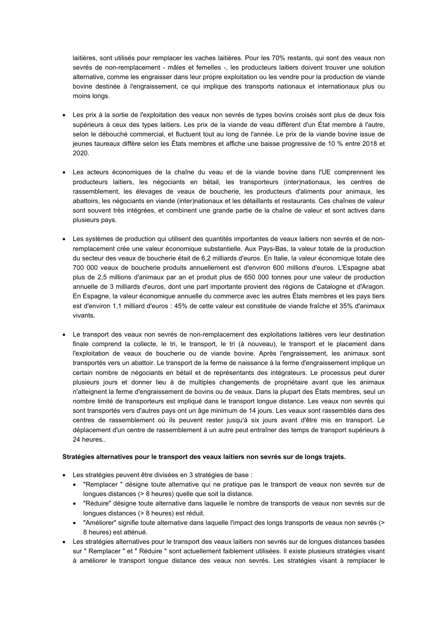laitières, sont utilisés pour remplacer les vaches laitières. Pour les 70% restants, qui sont des veaux non sevrés de non-remplacement - mâles et femelles -, les producteurs laitiers doivent trouver une solution alternative, comme les engraisser dans leur propre exploitation ou les vendre pour la production de viande bovine destinée à l'engraissement, ce qui implique des transports nationaux et internationaux plus ou moins longs.

- Les prix à la sortie de l'exploitation des veaux non sevrés de types bovins croisés sont plus de deux fois supérieurs à ceux des types laitiers. Les prix de la viande de veau diffèrent d'un État membre à l'autre, selon le débouché commercial, et fluctuent tout au long de l'année. Le prix de la viande bovine issue de jeunes taureaux diffère selon les États membres et affiche une baisse progressive de 10 % entre 2018 et 2020.
- Les acteurs économiques de la chaîne du veau et de la viande bovine dans l'UE comprennent les producteurs laitiers, les négociants en bétail, les transporteurs (inter)nationaux, les centres de rassemblement, les élevages de veaux de boucherie, les producteurs d'aliments pour animaux, les abattoirs, les négociants en viande (inter)nationaux et les détaillants et restaurants. Ces chaînes de valeur sont souvent très intégrées, et combinent une grande partie de la chaîne de valeur et sont actives dans plusieurs pays.
- Les systèmes de production qui utilisent des quantités importantes de veaux laitiers non sevrés et de nonremplacement crée une valeur économique substantielle. Aux Pays-Bas, la valeur totale de la production du secteur des veaux de boucherie était de 6,2 milliards d'euros. En Italie, la valeur économique totale des 700 000 veaux de boucherie produits annuellement est d'environ 600 millions d'euros. L'Espagne abat plus de 2,5 millions d'animaux par an et produit plus de 650 000 tonnes pour une valeur de production annuelle de 3 milliards d'euros, dont une part importante provient des régions de Catalogne et d'Aragon. En Espagne, la valeur économique annuelle du commerce avec les autres États membres et les pays tiers est d'environ 1,1 milliard d'euros : 45% de cette valeur est constituée de viande fraîche et 35% d'animaux vivants.
- Le transport des veaux non sevrés de non-remplacement des exploitations laitières vers leur destination finale comprend la collecte, le tri, le transport, le tri (à nouveau), le transport et le placement dans l'exploitation de veaux de boucherie ou de viande bovine. Après l'engraissement, les animaux sont transportés vers un abattoir. Le transport de la ferme de naissance à la ferme d'engraissement implique un certain nombre de négociants en bétail et de représentants des intégrateurs. Le processus peut durer plusieurs jours et donner lieu à de multiples changements de propriétaire avant que les animaux n'atteignent la ferme d'engraissement de bovins ou de veaux. Dans la plupart des États membres, seul un nombre limité de transporteurs est impliqué dans le transport longue distance. Les veaux non sevrés qui sont transportés vers d'autres pays ont un âge minimum de 14 jours. Les veaux sont rassemblés dans des centres de rassemblement où ils peuvent rester jusqu'à six jours avant d'être mis en transport. Le déplacement d'un centre de rassemblement à un autre peut entraîner des temps de transport supérieurs à 24 heures..

#### **Stratégies alternatives pour le transport des veaux laitiers non sevrés sur de longs trajets.**

- Les stratégies peuvent être divisées en 3 stratégies de base :
	- "Remplacer " désigne toute alternative qui ne pratique pas le transport de veaux non sevrés sur de longues distances (> 8 heures) quelle que soit la distance.
	- "Réduire" désigne toute alternative dans laquelle le nombre de transports de veaux non sevrés sur de longues distances (> 8 heures) est réduit.
	- "Améliorer" signifie toute alternative dans laquelle l'impact des longs transports de veaux non sevrés (> 8 heures) est atténué.
- Les stratégies alternatives pour le transport des veaux laitiers non sevrés sur de longues distances basées sur " Remplacer " et " Réduire " sont actuellement faiblement utilisées. Il existe plusieurs stratégies visant à améliorer le transport longue distance des veaux non sevrés. Les stratégies visant à remplacer le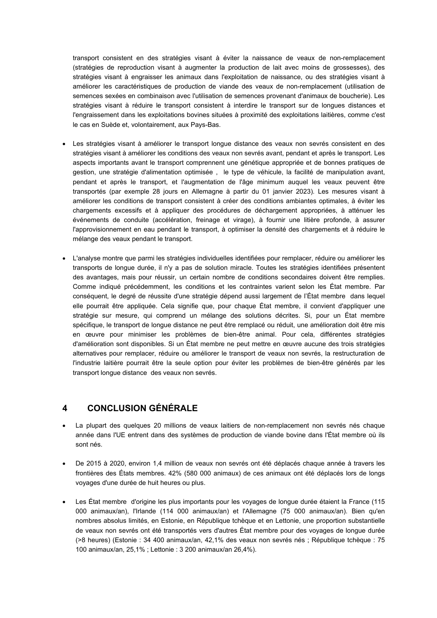transport consistent en des stratégies visant à éviter la naissance de veaux de non-remplacement (stratégies de reproduction visant à augmenter la production de lait avec moins de grossesses), des stratégies visant à engraisser les animaux dans l'exploitation de naissance, ou des stratégies visant à améliorer les caractéristiques de production de viande des veaux de non-remplacement (utilisation de semences sexées en combinaison avec l'utilisation de semences provenant d'animaux de boucherie). Les stratégies visant à réduire le transport consistent à interdire le transport sur de longues distances et l'engraissement dans les exploitations bovines situées à proximité des exploitations laitières, comme c'est le cas en Suède et, volontairement, aux Pays-Bas.

- Les stratégies visant à améliorer le transport longue distance des veaux non sevrés consistent en des stratégies visant à améliorer les conditions des veaux non sevrés avant, pendant et après le transport. Les aspects importants avant le transport comprennent une génétique appropriée et de bonnes pratiques de gestion, une stratégie d'alimentation optimisée , le type de véhicule, la facilité de manipulation avant, pendant et après le transport, et l'augmentation de l'âge minimum auquel les veaux peuvent être transportés (par exemple 28 jours en Allemagne à partir du 01 janvier 2023). Les mesures visant à améliorer les conditions de transport consistent à créer des conditions ambiantes optimales, à éviter les chargements excessifs et à appliquer des procédures de déchargement appropriées, à atténuer les événements de conduite (accélération, freinage et virage), à fournir une litière profonde, à assurer l'approvisionnement en eau pendant le transport, à optimiser la densité des chargements et à réduire le mélange des veaux pendant le transport.
- L'analyse montre que parmi les stratégies individuelles identifiées pour remplacer, réduire ou améliorer les transports de longue durée, il n'y a pas de solution miracle. Toutes les stratégies identifiées présentent des avantages, mais pour réussir, un certain nombre de conditions secondaires doivent être remplies. Comme indiqué précédemment, les conditions et les contraintes varient selon les État membre. Par conséquent, le degré de réussite d'une stratégie dépend aussi largement de l'État membre dans lequel elle pourrait être appliquée. Cela signifie que, pour chaque État membre, il convient d'appliquer une stratégie sur mesure, qui comprend un mélange des solutions décrites. Si, pour un État membre spécifique, le transport de longue distance ne peut être remplacé ou réduit, une amélioration doit être mis en œuvre pour minimiser les problèmes de bien-être animal. Pour cela, différentes stratégies d'amélioration sont disponibles. Si un État membre ne peut mettre en œuvre aucune des trois stratégies alternatives pour remplacer, réduire ou améliorer le transport de veaux non sevrés, la restructuration de l'industrie laitière pourrait être la seule option pour éviter les problèmes de bien-être générés par les transport longue distance des veaux non sevrés.

# **4 CONCLUSION GÉNÉRALE**

- La plupart des quelques 20 millions de veaux laitiers de non-remplacement non sevrés nés chaque année dans l'UE entrent dans des systèmes de production de viande bovine dans l'État membre où ils sont nés.
- De 2015 à 2020, environ 1,4 million de veaux non sevrés ont été déplacés chaque année à travers les frontières des États membres. 42% (580 000 animaux) de ces animaux ont été déplacés lors de longs voyages d'une durée de huit heures ou plus.
- Les État membre d'origine les plus importants pour les voyages de longue durée étaient la France (115 000 animaux/an), l'Irlande (114 000 animaux/an) et l'Allemagne (75 000 animaux/an). Bien qu'en nombres absolus limités, en Estonie, en République tchèque et en Lettonie, une proportion substantielle de veaux non sevrés ont été transportés vers d'autres État membre pour des voyages de longue durée (>8 heures) (Estonie : 34 400 animaux/an, 42,1% des veaux non sevrés nés ; République tchèque : 75 100 animaux/an, 25,1% ; Lettonie : 3 200 animaux/an 26,4%).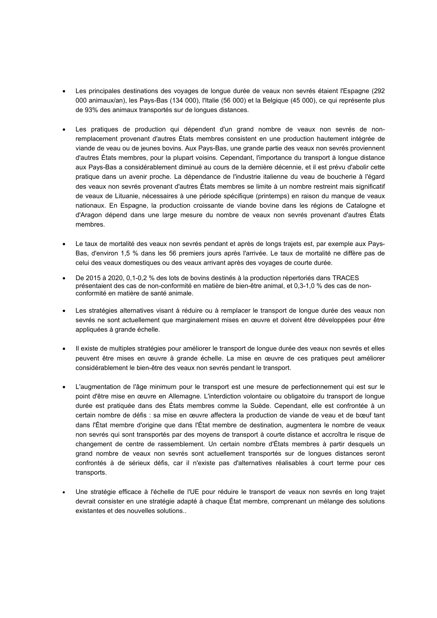- Les principales destinations des voyages de longue durée de veaux non sevrés étaient l'Espagne (292 000 animaux/an), les Pays-Bas (134 000), l'Italie (56 000) et la Belgique (45 000), ce qui représente plus de 93% des animaux transportés sur de longues distances.
- Les pratiques de production qui dépendent d'un grand nombre de veaux non sevrés de nonremplacement provenant d'autres États membres consistent en une production hautement intégrée de viande de veau ou de jeunes bovins. Aux Pays-Bas, une grande partie des veaux non sevrés proviennent d'autres États membres, pour la plupart voisins. Cependant, l'importance du transport à longue distance aux Pays-Bas a considérablement diminué au cours de la dernière décennie, et il est prévu d'abolir cette pratique dans un avenir proche. La dépendance de l'industrie italienne du veau de boucherie à l'égard des veaux non sevrés provenant d'autres États membres se limite à un nombre restreint mais significatif de veaux de Lituanie, nécessaires à une période spécifique (printemps) en raison du manque de veaux nationaux. En Espagne, la production croissante de viande bovine dans les régions de Catalogne et d'Aragon dépend dans une large mesure du nombre de veaux non sevrés provenant d'autres États membres.
- Le taux de mortalité des veaux non sevrés pendant et après de longs trajets est, par exemple aux Pays-Bas, d'environ 1,5 % dans les 56 premiers jours après l'arrivée. Le taux de mortalité ne diffère pas de celui des veaux domestiques ou des veaux arrivant après des voyages de courte durée.
- De 2015 à 2020, 0,1-0,2 % des lots de bovins destinés à la production répertoriés dans TRACES présentaient des cas de non-conformité en matière de bien-être animal, et 0,3-1,0 % des cas de nonconformité en matière de santé animale.
- Les stratégies alternatives visant à réduire ou à remplacer le transport de longue durée des veaux non sevrés ne sont actuellement que marginalement mises en œuvre et doivent être développées pour être appliquées à grande échelle.
- Il existe de multiples stratégies pour améliorer le transport de longue durée des veaux non sevrés et elles peuvent être mises en œuvre à grande échelle. La mise en œuvre de ces pratiques peut améliorer considérablement le bien-être des veaux non sevrés pendant le transport.
- L'augmentation de l'âge minimum pour le transport est une mesure de perfectionnement qui est sur le point d'être mise en œuvre en Allemagne. L'interdiction volontaire ou obligatoire du transport de longue durée est pratiquée dans des États membres comme la Suède. Cependant, elle est confrontée à un certain nombre de défis : sa mise en œuvre affectera la production de viande de veau et de bœuf tant dans l'État membre d'origine que dans l'État membre de destination, augmentera le nombre de veaux non sevrés qui sont transportés par des moyens de transport à courte distance et accroîtra le risque de changement de centre de rassemblement. Un certain nombre d'États membres à partir desquels un grand nombre de veaux non sevrés sont actuellement transportés sur de longues distances seront confrontés à de sérieux défis, car il n'existe pas d'alternatives réalisables à court terme pour ces transports.
- Une stratégie efficace à l'échelle de l'UE pour réduire le transport de veaux non sevrés en long trajet devrait consister en une stratégie adapté à chaque État membre, comprenant un mélange des solutions existantes et des nouvelles solutions..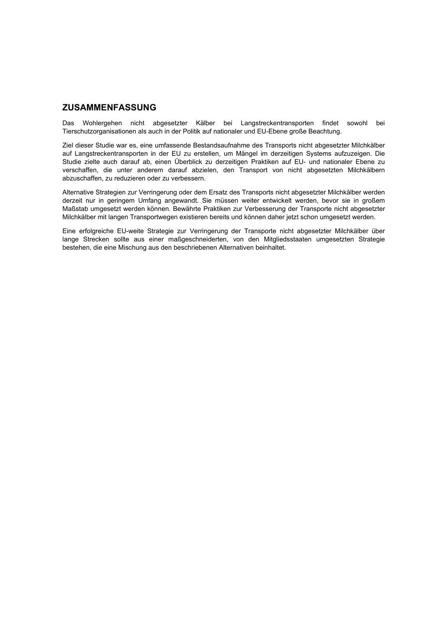# **ZUSAMMENFASSUNG**

Das Wohlergehen nicht abgesetzter Kälber bei Langstreckentransporten findet sowohl bei Tierschutzorganisationen als auch in der Politik auf nationaler und EU-Ebene große Beachtung.

Ziel dieser Studie war es, eine umfassende Bestandsaufnahme des Transports nicht abgesetzter Milchkälber auf Langstreckentransporten in der EU zu erstellen, um Mängel im derzeitigen Systems aufzuzeigen. Die Studie zielte auch darauf ab, einen Überblick zu derzeitigen Praktiken auf EU- und nationaler Ebene zu verschaffen, die unter anderem darauf abzielen, den Transport von nicht abgesetzten Milchkälbern abzuschaffen, zu reduzieren oder zu verbessern.

Alternative Strategien zur Verringerung oder dem Ersatz des Transports nicht abgesetzter Milchkälber werden derzeit nur in geringem Umfang angewandt. Sie müssen weiter entwickelt werden, bevor sie in großem Maßstab umgesetzt werden können. Bewährte Praktiken zur Verbesserung der Transporte nicht abgesetzter Milchkälber mit langen Transportwegen existieren bereits und können daher jetzt schon umgesetzt werden.

Eine erfolgreiche EU-weite Strategie zur Verringerung der Transporte nicht abgesetzter Milchkälber über lange Strecken sollte aus einer maßgeschneiderten, von den Mitgliedsstaaten umgesetzten Strategie bestehen, die eine Mischung aus den beschriebenen Alternativen beinhaltet.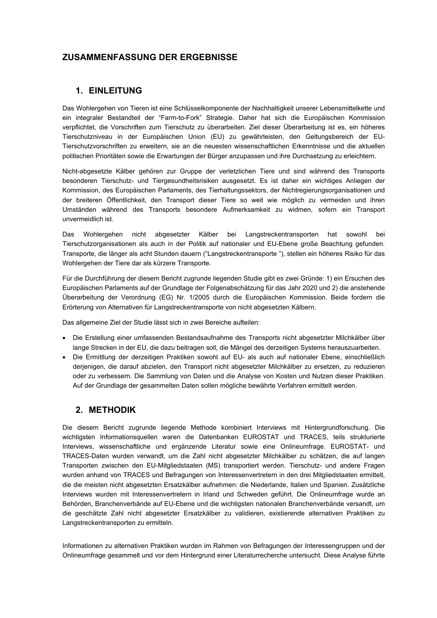# **ZUSAMMENFASSUNG DER ERGEBNISSE**

# **1. EINLEITUNG**

Das Wohlergehen von Tieren ist eine Schlüsselkomponente der Nachhaltigkeit unserer Lebensmittelkette und ein integraler Bestandteil der "Farm-to-Fork" Strategie. Daher hat sich die Europäischen Kommission verpflichtet, die Vorschriften zum Tierschutz zu überarbeiten. Ziel dieser Überarbeitung ist es, ein höheres Tierschutzniveau in der Europäischen Union (EU) zu gewährleisten, den Geltungsbereich der EU-Tierschutzvorschriften zu erweitern, sie an die neuesten wissenschaftlichen Erkenntnisse und die aktuellen politischen Prioritäten sowie die Erwartungen der Bürger anzupassen und ihre Durchsetzung zu erleichtern.

Nicht-abgesetzte Kälber gehören zur Gruppe der verletzlichen Tiere und sind während des Transports besonderen Tierschutz- und Tiergesundheitsrisiken ausgesetzt. Es ist daher ein wichtiges Anliegen der Kommission, des Europäischen Parlaments, des Tierhaltungssektors, der Nichtregierungsorganisationen und der breiteren Öffentlichkeit, den Transport dieser Tiere so weit wie möglich zu vermeiden und ihren Umständen während des Transports besondere Aufmerksamkeit zu widmen, sofern ein Transport unvermeidlich ist.

Das Wohlergehen nicht abgesetzter Kälber bei Langstreckentransporten hat sowohl bei Tierschutzorganisationen als auch in der Politik auf nationaler und EU-Ebene große Beachtung gefunden. Transporte, die länger als acht Stunden dauern ("Langstreckentransporte "), stellen ein höheres Risiko für das Wohlergehen der Tiere dar als kürzere Transporte.

Für die Durchführung der diesem Bericht zugrunde liegenden Studie gibt es zwei Gründe: 1) ein Ersuchen des Europäischen Parlaments auf der Grundlage der Folgenabschätzung für das Jahr 2020 und 2) die anstehende Überarbeitung der Verordnung (EG) Nr. 1/2005 durch die Europäischen Kommission. Beide fordern die Erörterung von Alternativen für Langstreckentransporte von nicht abgesetzten Kälbern.

Das allgemeine Ziel der Studie lässt sich in zwei Bereiche aufteilen:

- Die Erstellung einer umfassenden Bestandsaufnahme des Transports nicht abgesetzter Milchkälber über lange Strecken in der EU, die dazu beitragen soll, die Mängel des derzeitigen Systems herauszuarbeiten.
- Die Ermittlung der derzeitigen Praktiken sowohl auf EU- als auch auf nationaler Ebene, einschließlich derjenigen, die darauf abzielen, den Transport nicht abgesetzter Milchkälber zu ersetzen, zu reduzieren oder zu verbessern. Die Sammlung von Daten und die Analyse von Kosten und Nutzen dieser Praktiken. Auf der Grundlage der gesammelten Daten sollen mögliche bewährte Verfahren ermittelt werden.

# **2. METHODIK**

Die diesem Bericht zugrunde liegende Methode kombiniert Interviews mit Hintergrundforschung. Die wichtigsten Informationsquellen waren die Datenbanken EUROSTAT und TRACES, teils strukturierte Interviews, wissenschaftliche und ergänzende Literatur sowie eine Onlineumfrage. EUROSTAT- und TRACES-Daten wurden verwandt, um die Zahl nicht abgesetzter Milchkälber zu schätzen, die auf langen Transporten zwischen den EU-Mitgliedstaaten (MS) transportiert werden. Tierschutz- und andere Fragen wurden anhand von TRACES und Befragungen von Interessenvertretern in den drei Mitgliedstaaten ermittelt, die die meisten nicht abgesetzten Ersatzkälber aufnehmen: die Niederlande, Italien und Spanien. Zusätzliche Interviews wurden mit Interessenvertretern in Irland und Schweden geführt. Die Onlineumfrage wurde an Behörden, Branchenverbände auf EU-Ebene und die wichtigsten nationalen Branchenverbände versandt, um die geschätzte Zahl nicht abgesetzter Ersatzkälber zu validieren, existierende alternativen Praktiken zu Langstreckentransporten zu ermitteln.

Informationen zu alternativen Praktiken wurden im Rahmen von Befragungen der Interessengruppen und der Onlineumfrage gesammelt und vor dem Hintergrund einer Literaturrecherche untersucht. Diese Analyse führte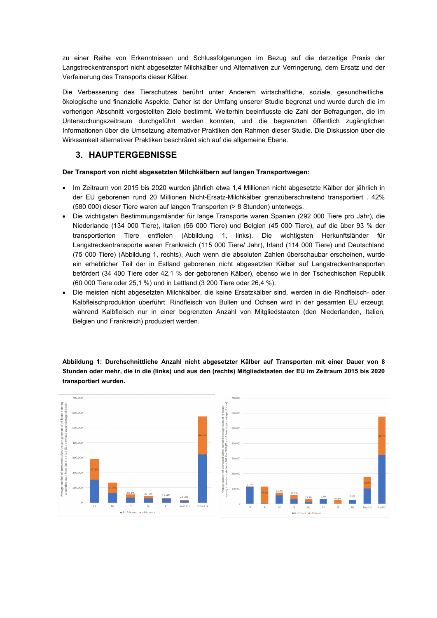zu einer Reihe von Erkenntnissen und Schlussfolgerungen im Bezug auf die derzeitige Praxis der Langstreckentransport nicht abgesetzter Milchkälber und Alternativen zur Verringerung, dem Ersatz und der Verfeinerung des Transports dieser Kälber.

Die Verbesserung des Tierschutzes berührt unter Anderem wirtschaftliche, soziale, gesundheitliche, ökologische und finanzielle Aspekte. Daher ist der Umfang unserer Studie begrenzt und wurde durch die im vorherigen Abschnitt vorgestellten Ziele bestimmt. Weiterhin beeinflusste die Zahl der Befragungen, die im Untersuchungszeitraum durchgeführt werden konnten, und die begrenzten öffentlich zugänglichen Informationen über die Umsetzung alternativer Praktiken den Rahmen dieser Studie. Die Diskussion über die Wirksamkeit alternativer Praktiken beschränkt sich auf die allgemeine Ebene.

# **3. HAUPTERGEBNISSE**

## **Der Transport von nicht abgesetzten Milchkälbern auf langen Transportwegen:**

- Im Zeitraum von 2015 bis 2020 wurden jährlich etwa 1,4 Millionen nicht abgesetzte Kälber der jährlich in der EU geborenen rund 20 Millionen Nicht-Ersatz-Milchkälber grenzüberschreitend transportiert . 42% (580 000) dieser Tiere waren auf langen Transporten (> 8 Stunden) unterwegs.
- Die wichtigsten Bestimmungsmländer für lange Transporte waren Spanien (292 000 Tiere pro Jahr), die Niederlande (134 000 Tiere), Italien (56 000 Tiere) und Belgien (45 000 Tiere), auf die über 93 % der transportierten Tiere entfielen (Abbildung 1, links). Die wichtigsten Herkunftsländer für Langstreckentransporte waren Frankreich (115 000 Tiere/ Jahr), Irland (114 000 Tiere) und Deutschland (75 000 Tiere) (Abbildung 1, rechts). Auch wenn die absoluten Zahlen überschaubar erscheinen, wurde ein erheblicher Teil der in Estland geborenen nicht abgesetzten Kälber auf Langstreckentransporten befördert (34 400 Tiere oder 42,1 % der geborenen Kälber), ebenso wie in der Tschechischen Republik (60 000 Tiere oder 25,1 %) und in Lettland (3 200 Tiere oder 26,4 %).
- Die meisten nicht abgesetzten Milchkälber, die keine Ersatzkälber sind, werden in die Rindfleisch- oder Kalbfleischproduktion überführt. Rindfleisch von Bullen und Ochsen wird in der gesamten EU erzeugt, während Kalbfleisch nur in einer begrenzten Anzahl von Mitgliedstaaten (den Niederlanden, Italien, Belgien und Frankreich) produziert werden.

**Abbildung 1: Durchschnittliche Anzahl nicht abgesetzter Kälber auf Transporten mit einer Dauer von 8 Stunden oder mehr, die in die (links) und aus den (rechts) Mitgliedstaaten der EU im Zeitraum 2015 bis 2020 transportiert wurden.**

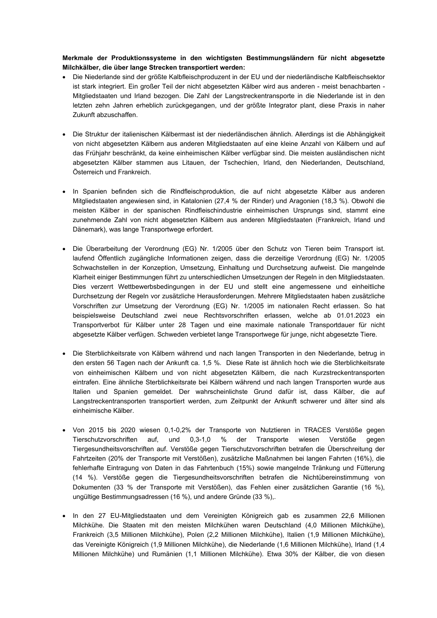**Merkmale der Produktionssysteme in den wichtigsten Bestimmungsländern für nicht abgesetzte Milchkälber, die über lange Strecken transportiert werden:**

- Die Niederlande sind der größte Kalbfleischproduzent in der EU und der niederländische Kalbfleischsektor ist stark integriert. Ein großer Teil der nicht abgesetzten Kälber wird aus anderen - meist benachbarten - Mitgliedstaaten und Irland bezogen. Die Zahl der Langstreckentransporte in die Niederlande ist in den letzten zehn Jahren erheblich zurückgegangen, und der größte Integrator plant, diese Praxis in naher Zukunft abzuschaffen.
- Die Struktur der italienischen Kälbermast ist der niederländischen ähnlich. Allerdings ist die Abhängigkeit von nicht abgesetzten Kälbern aus anderen Mitgliedstaaten auf eine kleine Anzahl von Kälbern und auf das Frühjahr beschränkt, da keine einheimischen Kälber verfügbar sind. Die meisten ausländischen nicht abgesetzten Kälber stammen aus Litauen, der Tschechien, Irland, den Niederlanden, Deutschland, Österreich und Frankreich.
- In Spanien befinden sich die Rindfleischproduktion, die auf nicht abgesetzte Kälber aus anderen Mitgliedstaaten angewiesen sind, in Katalonien (27,4 % der Rinder) und Aragonien (18,3 %). Obwohl die meisten Kälber in der spanischen Rindfleischindustrie einheimischen Ursprungs sind, stammt eine zunehmende Zahl von nicht abgesetzten Kälbern aus anderen Mitgliedstaaten (Frankreich, Irland und Dänemark), was lange Transportwege erfordert.
- Die Überarbeitung der Verordnung (EG) Nr. 1/2005 über den Schutz von Tieren beim Transport ist. laufend Öffentlich zugängliche Informationen zeigen, dass die derzeitige Verordnung (EG) Nr. 1/2005 Schwachstellen in der Konzeption, Umsetzung, Einhaltung und Durchsetzung aufweist. Die mangelnde Klarheit einiger Bestimmungen führt zu unterschiedlichen Umsetzungen der Regeln in den Mitgliedstaaten. Dies verzerrt Wettbewerbsbedingungen in der EU und stellt eine angemessene und einheitliche Durchsetzung der Regeln vor zusätzliche Herausforderungen. Mehrere Mitgliedstaaten haben zusätzliche Vorschriften zur Umsetzung der Verordnung (EG) Nr. 1/2005 im nationalen Recht erlassen. So hat beispielsweise Deutschland zwei neue Rechtsvorschriften erlassen, welche ab 01.01.2023 ein Transportverbot für Kälber unter 28 Tagen und eine maximale nationale Transportdauer für nicht abgesetzte Kälber verfügen. Schweden verbietet lange Transportwege für junge, nicht abgesetzte Tiere.
- Die Sterblichkeitsrate von Kälbern während und nach langen Transporten in den Niederlande, betrug in den ersten 56 Tagen nach der Ankunft ca. 1,5 %. Diese Rate ist ähnlich hoch wie die Sterblichkeitsrate von einheimischen Kälbern und von nicht abgesetzten Kälbern, die nach Kurzstreckentransporten eintrafen. Eine ähnliche Sterblichkeitsrate bei Kälbern während und nach langen Transporten wurde aus Italien und Spanien gemeldet. Der wahrscheinlichste Grund dafür ist, dass Kälber, die auf Langstreckentransporten transportiert werden, zum Zeitpunkt der Ankunft schwerer und älter sind als einheimische Kälber.
- Von 2015 bis 2020 wiesen 0,1-0,2% der Transporte von Nutztieren in TRACES Verstöße gegen Tierschutzvorschriften auf, und 0,3-1,0 % der Transporte wiesen Verstöße gegen Tiergesundheitsvorschriften auf. Verstöße gegen Tierschutzvorschriften betrafen die Überschreitung der Fahrtzeiten (20% der Transporte mit Verstößen), zusätzliche Maßnahmen bei langen Fahrten (16%), die fehlerhafte Eintragung von Daten in das Fahrtenbuch (15%) sowie mangelnde Tränkung und Fütterung (14 %). Verstöße gegen die Tiergesundheitsvorschriften betrafen die Nichtübereinstimmung von Dokumenten (33 % der Transporte mit Verstößen), das Fehlen einer zusätzlichen Garantie (16 %), ungültige Bestimmungsadressen (16 %), und andere Gründe (33 %),.
- In den 27 EU-Mitgliedstaaten und dem Vereinigten Königreich gab es zusammen 22,6 Millionen Milchkühe. Die Staaten mit den meisten Milchkühen waren Deutschland (4,0 Millionen Milchkühe), Frankreich (3,5 Millionen Milchkühe), Polen (2,2 Millionen Milchkühe), Italien (1,9 Millionen Milchkühe), das Vereinigte Königreich (1,9 Millionen Milchkühe), die Niederlande (1,6 Millionen Milchkühe), Irland (1,4 Millionen Milchkühe) und Rumänien (1,1 Millionen Milchkühe). Etwa 30% der Kälber, die von diesen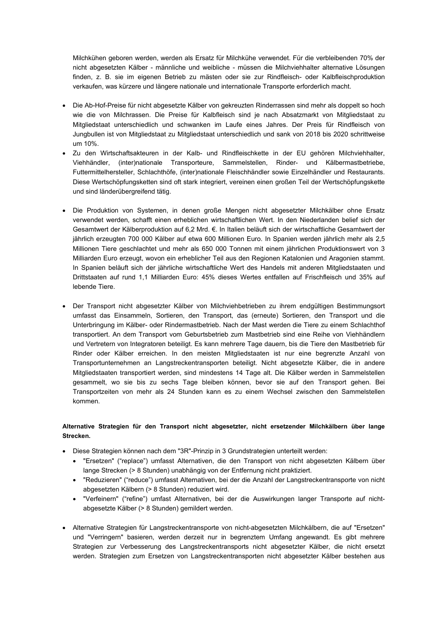Milchkühen geboren werden, werden als Ersatz für Milchkühe verwendet. Für die verbleibenden 70% der nicht abgesetzten Kälber - männliche und weibliche - müssen die Milchviehhalter alternative Lösungen finden, z. B. sie im eigenen Betrieb zu mästen oder sie zur Rindfleisch- oder Kalbfleischproduktion verkaufen, was kürzere und längere nationale und internationale Transporte erforderlich macht.

- Die Ab-Hof-Preise für nicht abgesetzte Kälber von gekreuzten Rinderrassen sind mehr als doppelt so hoch wie die von Milchrassen. Die Preise für Kalbfleisch sind je nach Absatzmarkt von Mitgliedstaat zu Mitgliedstaat unterschiedlich und schwanken im Laufe eines Jahres. Der Preis für Rindfleisch von Jungbullen ist von Mitgliedstaat zu Mitgliedstaat unterschiedlich und sank von 2018 bis 2020 schrittweise um 10%.
- Zu den Wirtschaftsakteuren in der Kalb- und Rindfleischkette in der EU gehören Milchviehhalter, Viehhändler, (inter)nationale Transporteure, Sammelstellen, Rinder- und Kälbermastbetriebe, Futtermittelhersteller, Schlachthöfe, (inter)nationale Fleischhändler sowie Einzelhändler und Restaurants. Diese Wertschöpfungsketten sind oft stark integriert, vereinen einen großen Teil der Wertschöpfungskette und sind länderübergreifend tätig.
- Die Produktion von Systemen, in denen große Mengen nicht abgesetzter Milchkälber ohne Ersatz verwendet werden, schafft einen erheblichen wirtschaftlichen Wert. In den Niederlanden belief sich der Gesamtwert der Kälberproduktion auf 6,2 Mrd. €. In Italien beläuft sich der wirtschaftliche Gesamtwert der jährlich erzeugten 700 000 Kälber auf etwa 600 Millionen Euro. In Spanien werden jährlich mehr als 2,5 Millionen Tiere geschlachtet und mehr als 650 000 Tonnen mit einem jährlichen Produktionswert von 3 Milliarden Euro erzeugt, wovon ein erheblicher Teil aus den Regionen Katalonien und Aragonien stammt. In Spanien beläuft sich der jährliche wirtschaftliche Wert des Handels mit anderen Mitgliedstaaten und Drittstaaten auf rund 1,1 Milliarden Euro: 45% dieses Wertes entfallen auf Frischfleisch und 35% auf lebende Tiere.
- Der Transport nicht abgesetzter Kälber von Milchviehbetrieben zu ihrem endgültigen Bestimmungsort umfasst das Einsammeln, Sortieren, den Transport, das (erneute) Sortieren, den Transport und die Unterbringung im Kälber- oder Rindermastbetrieb. Nach der Mast werden die Tiere zu einem Schlachthof transportiert. An dem Transport vom Geburtsbetrieb zum Mastbetrieb sind eine Reihe von Viehhändlern und Vertretern von Integratoren beteiligt. Es kann mehrere Tage dauern, bis die Tiere den Mastbetrieb für Rinder oder Kälber erreichen. In den meisten Mitgliedstaaten ist nur eine begrenzte Anzahl von Transportunternehmen an Langstreckentransporten beteiligt. Nicht abgesetzte Kälber, die in andere Mitgliedstaaten transportiert werden, sind mindestens 14 Tage alt. Die Kälber werden in Sammelstellen gesammelt, wo sie bis zu sechs Tage bleiben können, bevor sie auf den Transport gehen. Bei Transportzeiten von mehr als 24 Stunden kann es zu einem Wechsel zwischen den Sammelstellen kommen.

## **Alternative Strategien für den Transport nicht abgesetzter, nicht ersetzender Milchkälbern über lange Strecken.**

- Diese Strategien können nach dem "3R"-Prinzip in 3 Grundstrategien unterteilt werden:
	- "Ersetzen" ("replace") umfasst Alternativen, die den Transport von nicht abgesetzten Kälbern über lange Strecken (> 8 Stunden) unabhängig von der Entfernung nicht praktiziert.
	- "Reduzieren" ("reduce") umfasst Alternativen, bei der die Anzahl der Langstreckentransporte von nicht abgesetzten Kälbern (> 8 Stunden) reduziert wird.
	- "Verfeinern" ("refine") umfast Alternativen, bei der die Auswirkungen langer Transporte auf nichtabgesetzte Kälber (> 8 Stunden) gemildert werden.
- Alternative Strategien für Langstreckentransporte von nicht-abgesetzten Milchkälbern, die auf "Ersetzen" und "Verringern" basieren, werden derzeit nur in begrenztem Umfang angewandt. Es gibt mehrere Strategien zur Verbesserung des Langstreckentransports nicht abgesetzter Kälber, die nicht ersetzt werden. Strategien zum Ersetzen von Langstreckentransporten nicht abgesetzter Kälber bestehen aus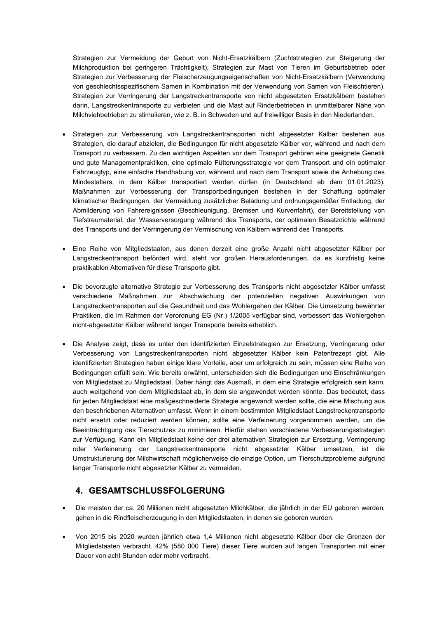Strategien zur Vermeidung der Geburt von Nicht-Ersatzkälbern (Zuchtstrategien zur Steigerung der Milchproduktion bei geringeren Trächtigkeit), Strategien zur Mast von Tieren im Geburtsbetrieb oder Strategien zur Verbesserung der Fleischerzeugungseigenschaften von Nicht-Ersatzkälbern (Verwendung von geschlechtsspezifischem Samen in Kombination mit der Verwendung von Samen von Fleischtieren). Strategien zur Verringerung der Langstreckentransporte von nicht abgesetzten Ersatzkälbern bestehen darin, Langstreckentransporte zu verbieten und die Mast auf Rinderbetrieben in unmittelbarer Nähe von Milchviehbetrieben zu stimulieren, wie z. B. in Schweden und auf freiwilliger Basis in den Niederlanden.

- Strategien zur Verbesserung von Langstreckentransporten nicht abgesetzter Kälber bestehen aus Strategien, die darauf abzielen, die Bedingungen für nicht abgesetzte Kälber vor, während und nach dem Transport zu verbessern. Zu den wichtigen Aspekten vor dem Transport gehören eine geeignete Genetik und gute Managementpraktiken, eine optimale Fütterungsstrategie vor dem Transport und ein optimaler Fahrzeugtyp, eine einfache Handhabung vor, während und nach dem Transport sowie die Anhebung des Mindestalters, in dem Kälber transportiert werden dürfen (in Deutschland ab dem 01.01.2023). Maßnahmen zur Verbesserung der Transportbedingungen bestehen in der Schaffung optimaler klimatischer Bedingungen, der Vermeidung zusätzlicher Beladung und ordnungsgemäßer Entladung, der Abmilderung von Fahrereignissen (Beschleunigung, Bremsen und Kurvenfahrt), der Bereitstellung von Tiefstreumaterial, der Wasserversorgung während des Transports, der optimalen Besatzdichte während des Transports und der Verringerung der Vermischung von Kälbern während des Transports.
- Eine Reihe von Mitgliedstaaten, aus denen derzeit eine große Anzahl nicht abgesetzter Kälber per Langstreckentransport befördert wird, steht vor großen Herausforderungen, da es kurzfristig keine praktikablen Alternativen für diese Transporte gibt.
- Die bevorzugte alternative Strategie zur Verbesserung des Transports nicht abgesetzter Kälber umfasst verschiedene Maßnahmen zur Abschwächung der potenziellen negativen Auswirkungen von Langstreckentransporten auf die Gesundheit und das Wohlergehen der Kälber. Die Umsetzung bewährter Praktiken, die im Rahmen der Verordnung EG (Nr.) 1/2005 verfügbar sind, verbessert das Wohlergehen nicht-abgesetzter Kälber während langer Transporte bereits erheblich.
- Die Analyse zeigt, dass es unter den identifizierten Einzelstrategien zur Ersetzung, Verringerung oder Verbesserung von Langstreckentransporten nicht abgesetzter Kälber kein Patentrezept gibt. Alle identifizierten Strategien haben einige klare Vorteile, aber um erfolgreich zu sein, müssen eine Reihe von Bedingungen erfüllt sein. Wie bereits erwähnt, unterscheiden sich die Bedingungen und Einschränkungen von Mitgliedstaat zu Mitgliedstaat. Daher hängt das Ausmaß, in dem eine Strategie erfolgreich sein kann, auch weitgehend von dem Mitgliedstaat ab, in dem sie angewendet werden könnte. Das bedeutet, dass für jeden Mitgliedstaat eine maßgeschneiderte Strategie angewandt werden sollte, die eine Mischung aus den beschriebenen Alternativen umfasst. Wenn in einem bestimmten Mitgliedstaat Langstreckentransporte nicht ersetzt oder reduziert werden können, sollte eine Verfeinerung vorgenommen werden, um die Beeinträchtigung des Tierschutzes zu minimieren. Hierfür stehen verschiedene Verbesserungsstrategien zur Verfügung. Kann ein Mitgliedstaat keine der drei alternativen Strategien zur Ersetzung, Verringerung oder Verfeinerung der Langstreckentransporte nicht abgesetzter Kälber umsetzen, ist die Umstrukturierung der Milchwirtschaft möglicherweise die einzige Option, um Tierschutzprobleme aufgrund langer Transporte nicht abgesetzter Kälber zu vermeiden.

# **4. GESAMTSCHLUSSFOLGERUNG**

- Die meisten der ca. 20 Millionen nicht abgesetzten Milchkälber, die jährlich in der EU geboren werden, gehen in die Rindfleischerzeugung in den Mitgliedstaaten, in denen sie geboren wurden.
- Von 2015 bis 2020 wurden jährlich etwa 1,4 Millionen nicht abgesetzte Kälber über die Grenzen der Mitgliedstaaten verbracht. 42% (580 000 Tiere) dieser Tiere wurden auf langen Transporten mit einer Dauer von acht Stunden oder mehr verbracht.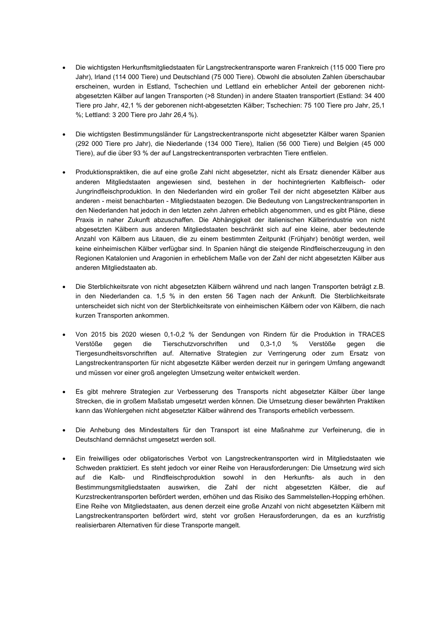- Die wichtigsten Herkunftsmitgliedstaaten für Langstreckentransporte waren Frankreich (115 000 Tiere pro Jahr), Irland (114 000 Tiere) und Deutschland (75 000 Tiere). Obwohl die absoluten Zahlen überschaubar erscheinen, wurden in Estland, Tschechien und Lettland ein erheblicher Anteil der geborenen nichtabgesetzten Kälber auf langen Transporten (>8 Stunden) in andere Staaten transportiert (Estland: 34 400 Tiere pro Jahr, 42,1 % der geborenen nicht-abgesetzten Kälber; Tschechien: 75 100 Tiere pro Jahr, 25,1 %; Lettland: 3 200 Tiere pro Jahr 26,4 %).
- Die wichtigsten Bestimmungsländer für Langstreckentransporte nicht abgesetzter Kälber waren Spanien (292 000 Tiere pro Jahr), die Niederlande (134 000 Tiere), Italien (56 000 Tiere) und Belgien (45 000 Tiere), auf die über 93 % der auf Langstreckentransporten verbrachten Tiere entfielen.
- Produktionspraktiken, die auf eine große Zahl nicht abgesetzter, nicht als Ersatz dienender Kälber aus anderen Mitgliedstaaten angewiesen sind, bestehen in der hochintegrierten Kalbfleisch- oder Jungrindfleischproduktion. In den Niederlanden wird ein großer Teil der nicht abgesetzten Kälber aus anderen - meist benachbarten - Mitgliedstaaten bezogen. Die Bedeutung von Langstreckentransporten in den Niederlanden hat jedoch in den letzten zehn Jahren erheblich abgenommen, und es gibt Pläne, diese Praxis in naher Zukunft abzuschaffen. Die Abhängigkeit der italienischen Kälberindustrie von nicht abgesetzten Kälbern aus anderen Mitgliedstaaten beschränkt sich auf eine kleine, aber bedeutende Anzahl von Kälbern aus Litauen, die zu einem bestimmten Zeitpunkt (Frühjahr) benötigt werden, weil keine einheimischen Kälber verfügbar sind. In Spanien hängt die steigende Rindfleischerzeugung in den Regionen Katalonien und Aragonien in erheblichem Maße von der Zahl der nicht abgesetzten Kälber aus anderen Mitgliedstaaten ab.
- Die Sterblichkeitsrate von nicht abgesetzten Kälbern während und nach langen Transporten beträgt z.B. in den Niederlanden ca. 1,5 % in den ersten 56 Tagen nach der Ankunft. Die Sterblichkeitsrate unterscheidet sich nicht von der Sterblichkeitsrate von einheimischen Kälbern oder von Kälbern, die nach kurzen Transporten ankommen.
- Von 2015 bis 2020 wiesen 0,1-0,2 % der Sendungen von Rindern für die Produktion in TRACES Verstöße gegen die Tierschutzvorschriften und 0,3-1,0 % Verstöße gegen die Tiergesundheitsvorschriften auf. Alternative Strategien zur Verringerung oder zum Ersatz von Langstreckentransporten für nicht abgesetzte Kälber werden derzeit nur in geringem Umfang angewandt und müssen vor einer groß angelegten Umsetzung weiter entwickelt werden.
- Es gibt mehrere Strategien zur Verbesserung des Transports nicht abgesetzter Kälber über lange Strecken, die in großem Maßstab umgesetzt werden können. Die Umsetzung dieser bewährten Praktiken kann das Wohlergehen nicht abgesetzter Kälber während des Transports erheblich verbessern.
- Die Anhebung des Mindestalters für den Transport ist eine Maßnahme zur Verfeinerung, die in Deutschland demnächst umgesetzt werden soll.
- Ein freiwilliges oder obligatorisches Verbot von Langstreckentransporten wird in Mitgliedstaaten wie Schweden praktiziert. Es steht jedoch vor einer Reihe von Herausforderungen: Die Umsetzung wird sich auf die Kalb- und Rindfleischproduktion sowohl in den Herkunfts- als auch in den Bestimmungsmitgliedstaaten auswirken, die Zahl der nicht abgesetzten Kälber, die auf Kurzstreckentransporten befördert werden, erhöhen und das Risiko des Sammelstellen-Hopping erhöhen. Eine Reihe von Mitgliedstaaten, aus denen derzeit eine große Anzahl von nicht abgesetzten Kälbern mit Langstreckentransporten befördert wird, steht vor großen Herausforderungen, da es an kurzfristig realisierbaren Alternativen für diese Transporte mangelt.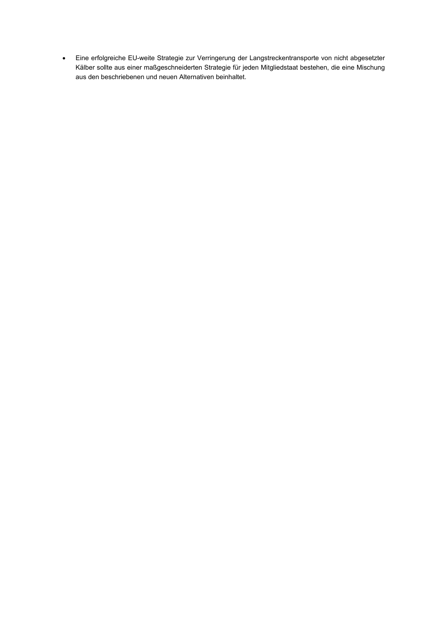• Eine erfolgreiche EU-weite Strategie zur Verringerung der Langstreckentransporte von nicht abgesetzter Kälber sollte aus einer maßgeschneiderten Strategie für jeden Mitgliedstaat bestehen, die eine Mischung aus den beschriebenen und neuen Alternativen beinhaltet.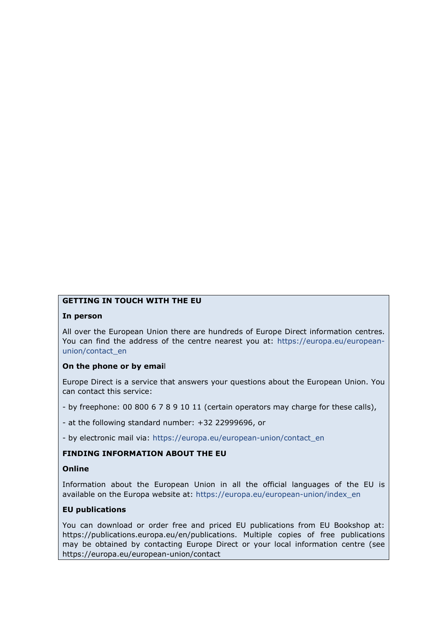# **GETTING IN TOUCH WITH THE EU**

## **In person**

All over the European Union there are hundreds of Europe Direct information centres. You can find the address of the centre nearest you at: [https://europa.eu/european](https://europa.eu/european-union/contact_en)[union/contact\\_en](https://europa.eu/european-union/contact_en)

## **On the phone or by emai**l

Europe Direct is a service that answers your questions about the European Union. You can contact this service:

- by freephone: 00 800 6 7 8 9 10 11 (certain operators may charge for these calls),
- at the following standard number: +32 22999696, or
- by electronic mail via: [https://europa.eu/european-union/contact\\_en](https://europa.eu/european-union/contact_en)

## **FINDING INFORMATION ABOUT THE EU**

## **Online**

Information about the European Union in all the official languages of the EU is available on the Europa website at: [https://europa.eu/european-union/index\\_en](https://europa.eu/european-union/index_en)

## **EU publications**

You can download or order free and priced EU publications from EU Bookshop at: https://publications.europa.eu/en/publications. Multiple copies of free publications may be obtained by contacting Europe Direct or your local information centre (see https://europa.eu/european-union/contact